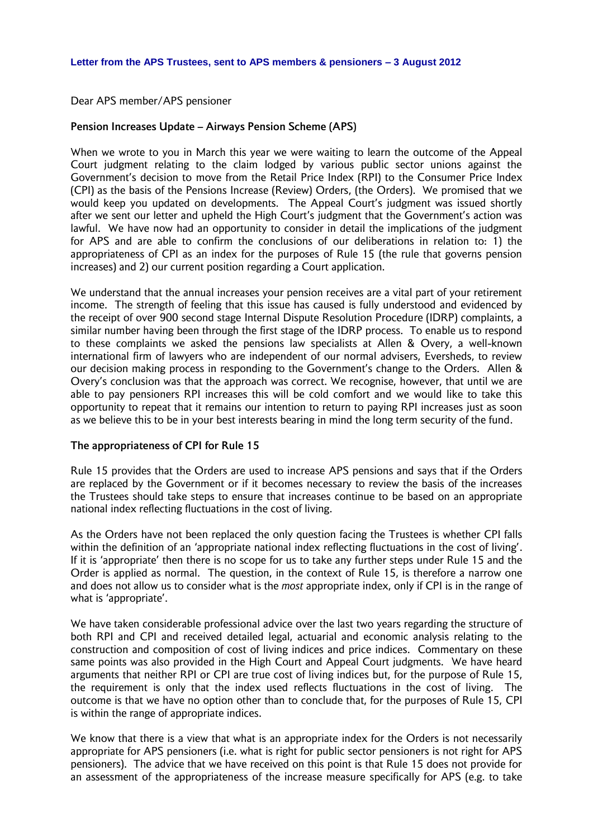Dear APS member/APS pensioner

#### **Pension Increases Update – Airways Pension Scheme (APS)**

When we wrote to you in March this year we were waiting to learn the outcome of the Appeal Court judgment relating to the claim lodged by various public sector unions against the Government's decision to move from the Retail Price Index (RPI) to the Consumer Price Index (CPI) as the basis of the Pensions Increase (Review) Orders, (the Orders). We promised that we would keep you updated on developments. The Appeal Court's judgment was issued shortly after we sent our letter and upheld the High Court's judgment that the Government's action was lawful. We have now had an opportunity to consider in detail the implications of the judgment for APS and are able to confirm the conclusions of our deliberations in relation to: 1) the appropriateness of CPI as an index for the purposes of Rule 15 (the rule that governs pension increases) and 2) our current position regarding a Court application.

We understand that the annual increases your pension receives are a vital part of your retirement income. The strength of feeling that this issue has caused is fully understood and evidenced by the receipt of over 900 second stage Internal Dispute Resolution Procedure (IDRP) complaints, a similar number having been through the first stage of the IDRP process. To enable us to respond to these complaints we asked the pensions law specialists at Allen & Overy, a well-known international firm of lawyers who are independent of our normal advisers, Eversheds, to review our decision making process in responding to the Government's change to the Orders. Allen & Overy's conclusion was that the approach was correct. We recognise, however, that until we are able to pay pensioners RPI increases this will be cold comfort and we would like to take this opportunity to repeat that it remains our intention to return to paying RPI increases just as soon as we believe this to be in your best interests bearing in mind the long term security of the fund.

### **The appropriateness of CPI for Rule 15**

Rule 15 provides that the Orders are used to increase APS pensions and says that if the Orders are replaced by the Government or if it becomes necessary to review the basis of the increases the Trustees should take steps to ensure that increases continue to be based on an appropriate national index reflecting fluctuations in the cost of living.

As the Orders have not been replaced the only question facing the Trustees is whether CPI falls within the definition of an 'appropriate national index reflecting fluctuations in the cost of living'. If it is 'appropriate' then there is no scope for us to take any further steps under Rule 15 and the Order is applied as normal. The question, in the context of Rule 15, is therefore a narrow one and does not allow us to consider what is the *most* appropriate index, only if CPI is in the range of what is 'appropriate'.

We have taken considerable professional advice over the last two years regarding the structure of both RPI and CPI and received detailed legal, actuarial and economic analysis relating to the construction and composition of cost of living indices and price indices. Commentary on these same points was also provided in the High Court and Appeal Court judgments. We have heard arguments that neither RPI or CPI are true cost of living indices but, for the purpose of Rule 15, the requirement is only that the index used reflects fluctuations in the cost of living. The outcome is that we have no option other than to conclude that, for the purposes of Rule 15, CPI is within the range of appropriate indices.

We know that there is a view that what is an appropriate index for the Orders is not necessarily appropriate for APS pensioners (i.e. what is right for public sector pensioners is not right for APS pensioners). The advice that we have received on this point is that Rule 15 does not provide for an assessment of the appropriateness of the increase measure specifically for APS (e.g. to take